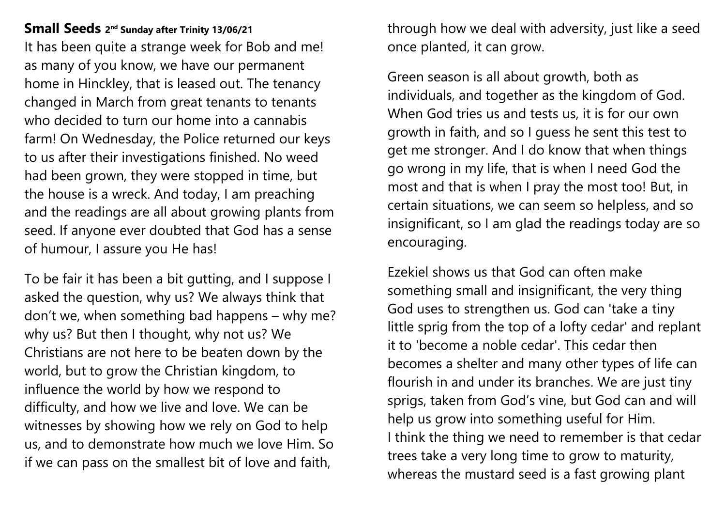**Small Seeds <sup>2</sup> nd Sunday after Trinity 13/06/21** It has been quite a strange week for Bob and me! as many of you know, we have our permanent home in Hinckley, that is leased out. The tenancy changed in March from great tenants to tenants who decided to turn our home into a cannabis farm! On Wednesday, the Police returned our keys to us after their investigations finished. No weed had been grown, they were stopped in time, but the house is a wreck. And today, I am preaching and the readings are all about growing plants from seed. If anyone ever doubted that God has a sense of humour, I assure you He has!

To be fair it has been a bit gutting, and I suppose I asked the question, why us? We always think that don't we, when something bad happens – why me? why us? But then I thought, why not us? We Christians are not here to be beaten down by the world, but to grow the Christian kingdom, to influence the world by how we respond to difficulty, and how we live and love. We can be witnesses by showing how we rely on God to help us, and to demonstrate how much we love Him. So if we can pass on the smallest bit of love and faith,

through how we deal with adversity, just like a seed once planted, it can grow.

Green season is all about growth, both as individuals, and together as the kingdom of God. When God tries us and tests us, it is for our own growth in faith, and so I guess he sent this test to get me stronger. And I do know that when things go wrong in my life, that is when I need God the most and that is when I pray the most too! But, in certain situations, we can seem so helpless, and so insignificant, so I am glad the readings today are so encouraging.

Ezekiel shows us that God can often make something small and insignificant, the very thing God uses to strengthen us. God can 'take a tiny little sprig from the top of a lofty cedar' and replant it to 'become a noble cedar'. This cedar then becomes a shelter and many other types of life can flourish in and under its branches. We are just tiny sprigs, taken from God's vine, but God can and will help us grow into something useful for Him. I think the thing we need to remember is that cedar trees take a very long time to grow to maturity, whereas the mustard seed is a fast growing plant